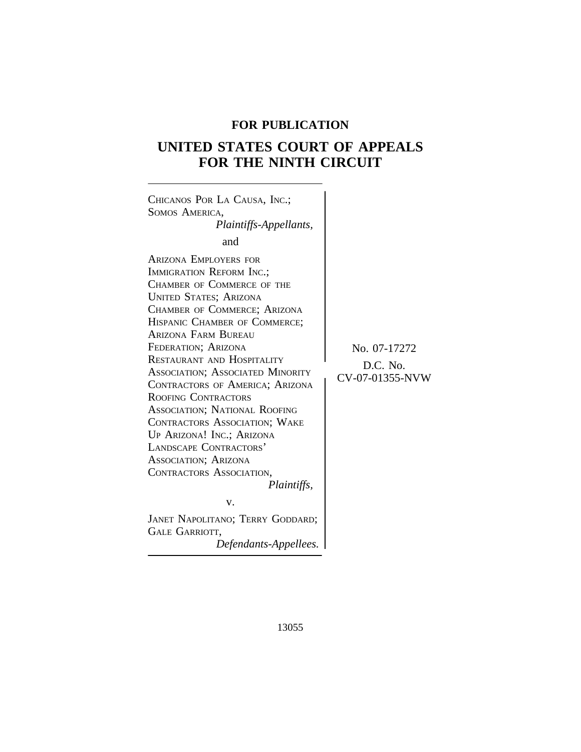# **FOR PUBLICATION**

# **UNITED STATES COURT OF APPEALS FOR THE NINTH CIRCUIT**

 $\overline{\phantom{a}}$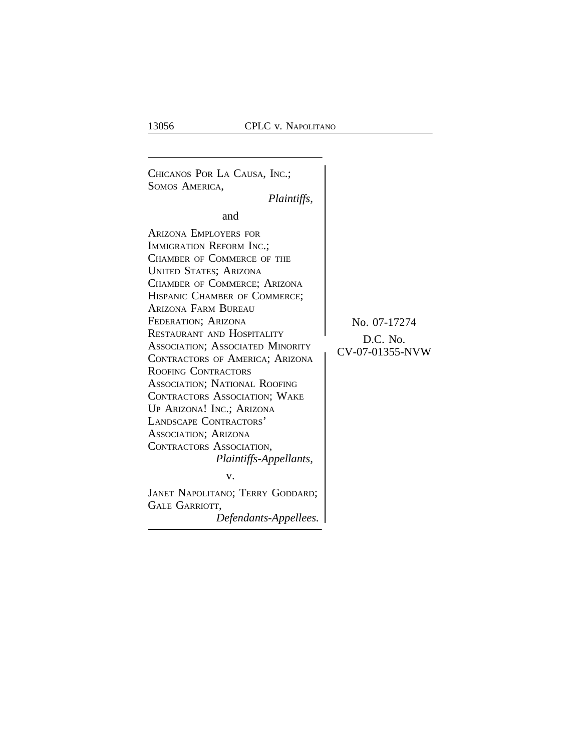<sup>C</sup>HICANOS POR LA CAUSA, INC.; SOMOS AMERICA, *Plaintiffs,* and ARIZONA EMPLOYERS FOR IMMIGRATION REFORM INC.; CHAMBER OF COMMERCE OF THE UNITED STATES; ARIZONA CHAMBER OF COMMERCE; ARIZONA HISPANIC CHAMBER OF COMMERCE; ARIZONA FARM BUREAU FEDERATION; ARIZONA No. 07-17274<br>RESTAURANT AND HOSPITALITY RESTAURANT AND HOSPITALITY<br>
ASSOCIATION; ASSOCIATED MINORITY<br>
CV-07-01355-NVW CONTRACTORS OF AMERICA; ARIZONA ROOFING CONTRACTORS ASSOCIATION; NATIONAL ROOFING CONTRACTORS ASSOCIATION; WAKE UP ARIZONA! INC.; ARIZONA LANDSCAPE CONTRACTORS' ASSOCIATION; ARIZONA CONTRACTORS ASSOCIATION, *Plaintiffs-Appellants,* v. JANET NAPOLITANO; TERRY GODDARD; GALE GARRIOTT, *Defendants-Appellees.*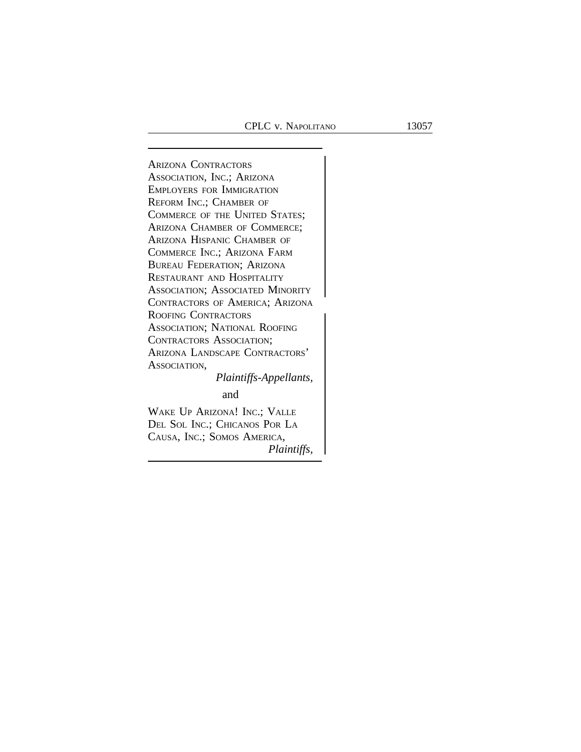*Plaintiffs,*

<sup>A</sup>RIZONA CONTRACTORS ASSOCIATION, INC.; ARIZONA EMPLOYERS FOR IMMIGRATION REFORM INC.; CHAMBER OF COMMERCE OF THE UNITED STATES; ARIZONA CHAMBER OF COMMERCE; ARIZONA HISPANIC CHAMBER OF COMMERCE INC.; ARIZONA FARM BUREAU FEDERATION; ARIZONA RESTAURANT AND HOSPITALITY ASSOCIATION; ASSOCIATED MINORITY <sup>C</sup>ONTRACTORS OF AMERICA; ARIZONA <sup>R</sup>OOFING CONTRACTORS ASSOCIATION; NATIONAL ROOFING CONTRACTORS ASSOCIATION; ARIZONA LANDSCAPE CONTRACTORS' ASSOCIATION, *Plaintiffs-Appellants,* and WAKE UP ARIZONA! INC.; VALLE DEL SOL INC.; CHICANOS POR LA CAUSA, INC.; SOMOS AMERICA,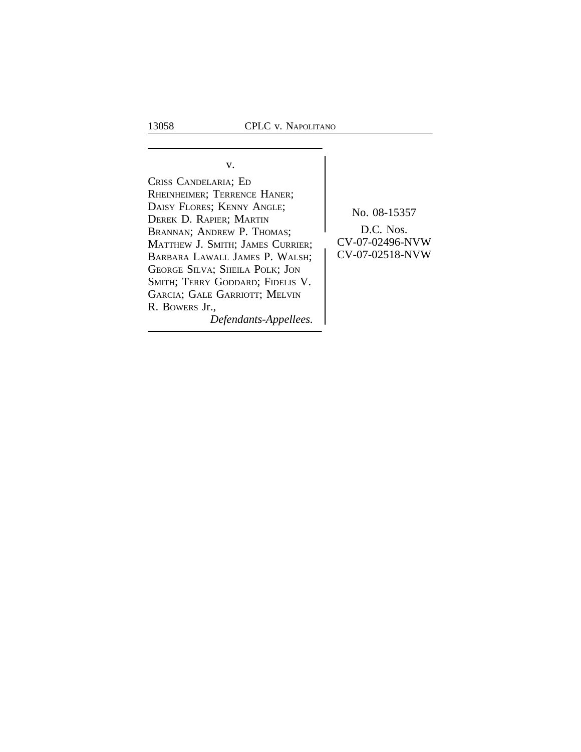v. CRISS CANDELARIA; ED RHEINHEIMER; TERRENCE HANER; DAISY FLORES; KENNY ANGLE;<br>
DEREK D. RAPIER; MARTIN<br>
BRANNAN: ANDREW P. THOMAS: D.C. Nos. BRANNAN; ANDREW P. THOMAS;<br>MATTHEW J. SMITH: JAMES CURRIER: CV-07-02496-NVW MATTHEW J. SMITH; JAMES CURRIER; CV-07-02496-NVW<br>BARBARA LAWALL JAMES P. WALSH: CV-07-02518-NVW BARBARA LAWALL JAMES P. WALSH; GEORGE SILVA; SHEILA POLK; JON SMITH; TERRY GODDARD; FIDELIS V. GARCIA; GALE GARRIOTT; MELVIN R. BOWERS Jr., *Defendants-Appellees.*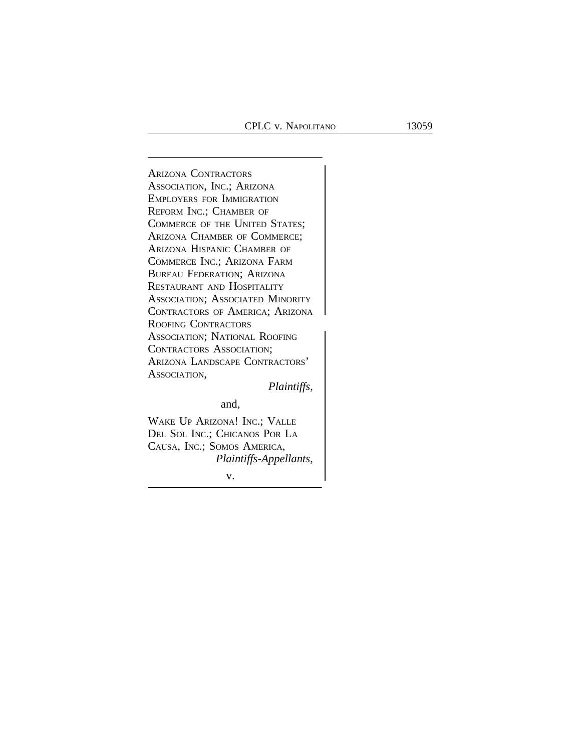<sup>A</sup>RIZONA CONTRACTORS ASSOCIATION, INC.; ARIZONA EMPLOYERS FOR IMMIGRATION REFORM INC.; CHAMBER OF COMMERCE OF THE UNITED STATES; ARIZONA CHAMBER OF COMMERCE; ARIZONA HISPANIC CHAMBER OF COMMERCE INC.; ARIZONA FARM BUREAU FEDERATION; ARIZONA RESTAURANT AND HOSPITALITY ASSOCIATION; ASSOCIATED MINORITY CONTRACTORS OF AMERICA; ARIZONA <sup>R</sup>OOFING CONTRACTORS ASSOCIATION; NATIONAL ROOFING CONTRACTORS ASSOCIATION; ARIZONA LANDSCAPE CONTRACTORS' ASSOCIATION,

*Plaintiffs,*

and,

WAKE UP ARIZONA! INC.; VALLE DEL SOL INC.; CHICANOS POR LA CAUSA, INC.; SOMOS AMERICA, *Plaintiffs-Appellants,*

v.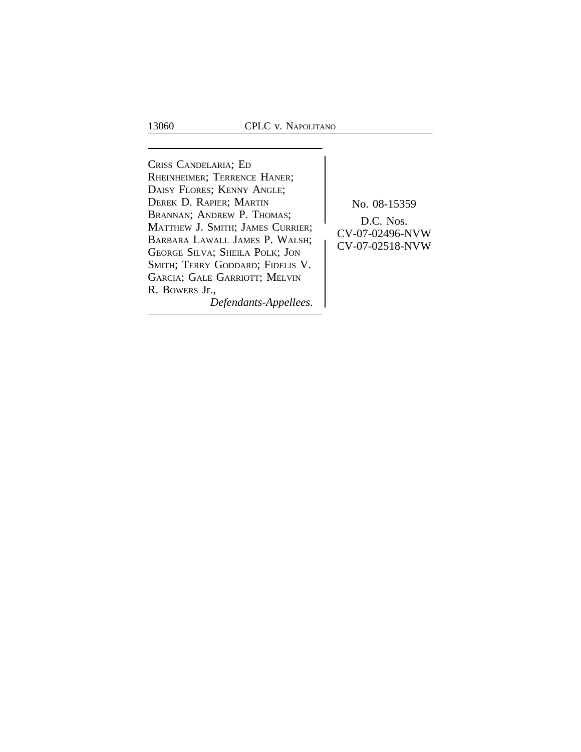<sup>C</sup>RISS CANDELARIA; E<sup>D</sup> RHEINHEIMER; TERRENCE HANER; DAISY FLORES; KENNY ANGLE; DEREK D. RAPIER; MARTIN No. 08-15359 BRANNAN; ANDREW P. THOMAS; D.C. Nos.<br>MATTHEW J. SMITH; JAMES CURRIER; D.C. Nos.<br>Depends J. SMITH; JAMES CURRIER; CV-07-02496-NVW CV-07-02496-NVW <sup>B</sup>ARBARA LAWALL JAMES P. WALSH; GEORGE SILVA; SHEILA POLK; JON SMITH; TERRY GODDARD; FIDELIS V. GARCIA; GALE GARRIOTT; MELVIN R. BOWERS Jr., *Defendants-Appellees.*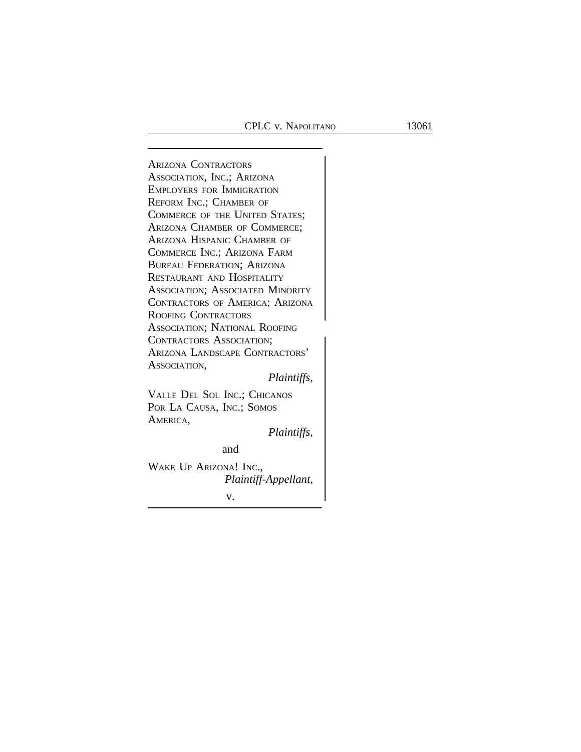<sup>A</sup>RIZONA CONTRACTORS ASSOCIATION, INC.; ARIZONA EMPLOYERS FOR IMMIGRATION REFORM INC.; CHAMBER OF COMMERCE OF THE UNITED STATES; ARIZONA CHAMBER OF COMMERCE; ARIZONA HISPANIC CHAMBER OF COMMERCE INC.; ARIZONA FARM BUREAU FEDERATION; ARIZONA RESTAURANT AND HOSPITALITY ASSOCIATION; ASSOCIATED MINORITY CONTRACTORS OF AMERICA; ARIZONA ROOFING CONTRACTORS <sup>A</sup>SSOCIATION; NATIONAL ROOFING CONTRACTORS ASSOCIATION; ARIZONA LANDSCAPE CONTRACTORS' ASSOCIATION, *Plaintiffs,* VALLE DEL SOL INC.; CHICANOS

POR LA CAUSA, INC.; SOMOS AMERICA,

*Plaintiffs,*

and

WAKE UP ARIZONA! INC., *Plaintiff-Appellant,* v.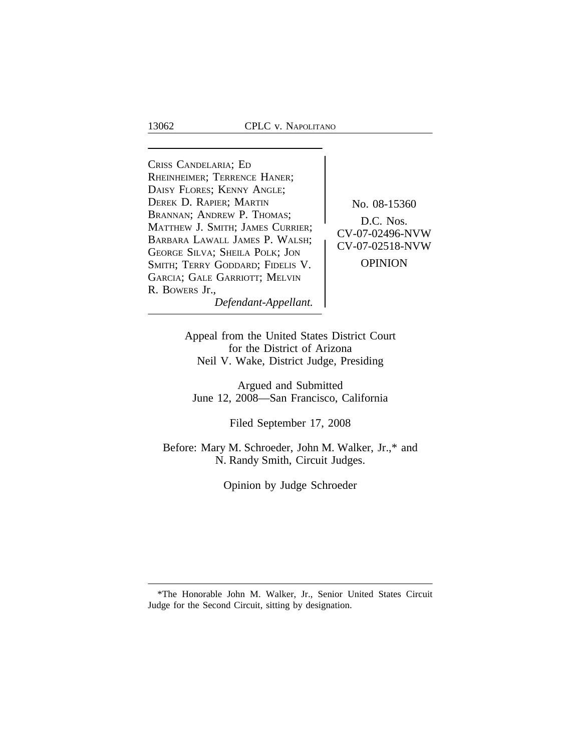<sup>C</sup>RISS CANDELARIA; E<sup>D</sup> RHEINHEIMER; TERRENCE HANER; DAISY FLORES; KENNY ANGLE; DEREK D. RAPIER; MARTIN No. 08-15360 BRANNAN; ANDREW P. THOMAS; D.C. Nos.<br>MATTHEW J. SMITH; JAMES CURRIER; CV-07-02496-NVW CV-07-02496-NVW <sup>B</sup>ARBARA LAWALL JAMES P. WALSH; GEORGE SILVA; SHEILA POLK; JON<br>SMITH: TERRY GODDARD: FIDELIS V. OPINION SMITH; TERRY GODDARD; FIDELIS V. GARCIA; GALE GARRIOTT; MELVIN R. BOWERS Jr.,

*Defendant-Appellant.*

Appeal from the United States District Court for the District of Arizona Neil V. Wake, District Judge, Presiding

Argued and Submitted June 12, 2008—San Francisco, California

Filed September 17, 2008

Before: Mary M. Schroeder, John M. Walker, Jr.,\* and N. Randy Smith, Circuit Judges.

Opinion by Judge Schroeder

<sup>\*</sup>The Honorable John M. Walker, Jr., Senior United States Circuit Judge for the Second Circuit, sitting by designation.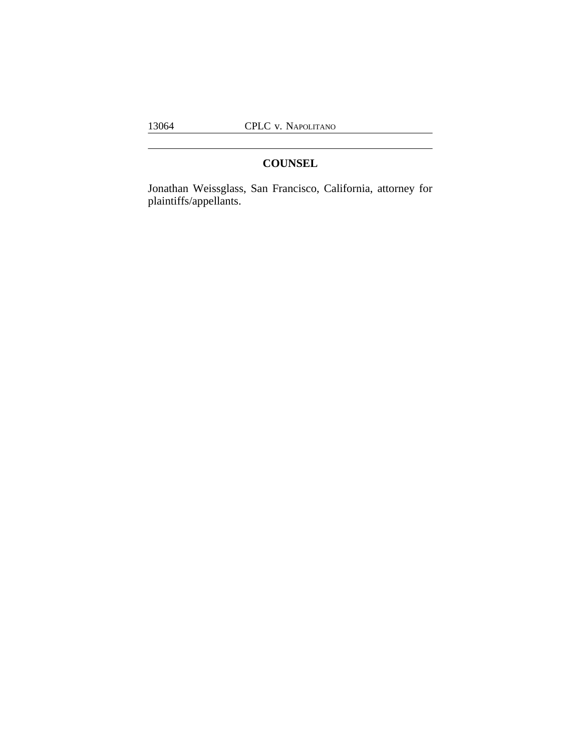# **COUNSEL**

Jonathan Weissglass, San Francisco, California, attorney for plaintiffs/appellants.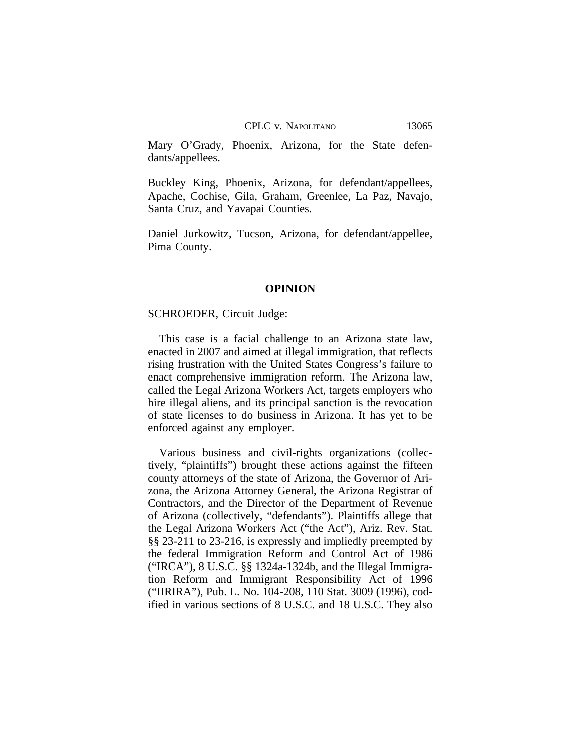Mary O'Grady, Phoenix, Arizona, for the State defendants/appellees.

Buckley King, Phoenix, Arizona, for defendant/appellees, Apache, Cochise, Gila, Graham, Greenlee, La Paz, Navajo, Santa Cruz, and Yavapai Counties.

Daniel Jurkowitz, Tucson, Arizona, for defendant/appellee, Pima County.

### **OPINION**

#### SCHROEDER, Circuit Judge:

This case is a facial challenge to an Arizona state law, enacted in 2007 and aimed at illegal immigration, that reflects rising frustration with the United States Congress's failure to enact comprehensive immigration reform. The Arizona law, called the Legal Arizona Workers Act, targets employers who hire illegal aliens, and its principal sanction is the revocation of state licenses to do business in Arizona. It has yet to be enforced against any employer.

Various business and civil-rights organizations (collectively, "plaintiffs") brought these actions against the fifteen county attorneys of the state of Arizona, the Governor of Arizona, the Arizona Attorney General, the Arizona Registrar of Contractors, and the Director of the Department of Revenue of Arizona (collectively, "defendants"). Plaintiffs allege that the Legal Arizona Workers Act ("the Act"), Ariz. Rev. Stat. §§ 23-211 to 23-216, is expressly and impliedly preempted by the federal Immigration Reform and Control Act of 1986 ("IRCA"), 8 U.S.C. §§ 1324a-1324b, and the Illegal Immigration Reform and Immigrant Responsibility Act of 1996 ("IIRIRA"), Pub. L. No. 104-208, 110 Stat. 3009 (1996), codified in various sections of 8 U.S.C. and 18 U.S.C. They also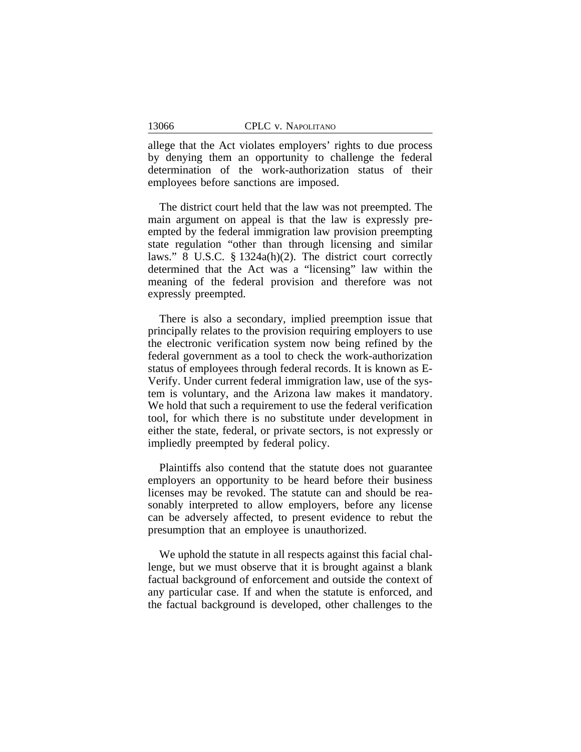allege that the Act violates employers' rights to due process by denying them an opportunity to challenge the federal determination of the work-authorization status of their employees before sanctions are imposed.

The district court held that the law was not preempted. The main argument on appeal is that the law is expressly preempted by the federal immigration law provision preempting state regulation "other than through licensing and similar laws." 8 U.S.C. § 1324a(h)(2). The district court correctly determined that the Act was a "licensing" law within the meaning of the federal provision and therefore was not expressly preempted.

There is also a secondary, implied preemption issue that principally relates to the provision requiring employers to use the electronic verification system now being refined by the federal government as a tool to check the work-authorization status of employees through federal records. It is known as E-Verify. Under current federal immigration law, use of the system is voluntary, and the Arizona law makes it mandatory. We hold that such a requirement to use the federal verification tool, for which there is no substitute under development in either the state, federal, or private sectors, is not expressly or impliedly preempted by federal policy.

Plaintiffs also contend that the statute does not guarantee employers an opportunity to be heard before their business licenses may be revoked. The statute can and should be reasonably interpreted to allow employers, before any license can be adversely affected, to present evidence to rebut the presumption that an employee is unauthorized.

We uphold the statute in all respects against this facial challenge, but we must observe that it is brought against a blank factual background of enforcement and outside the context of any particular case. If and when the statute is enforced, and the factual background is developed, other challenges to the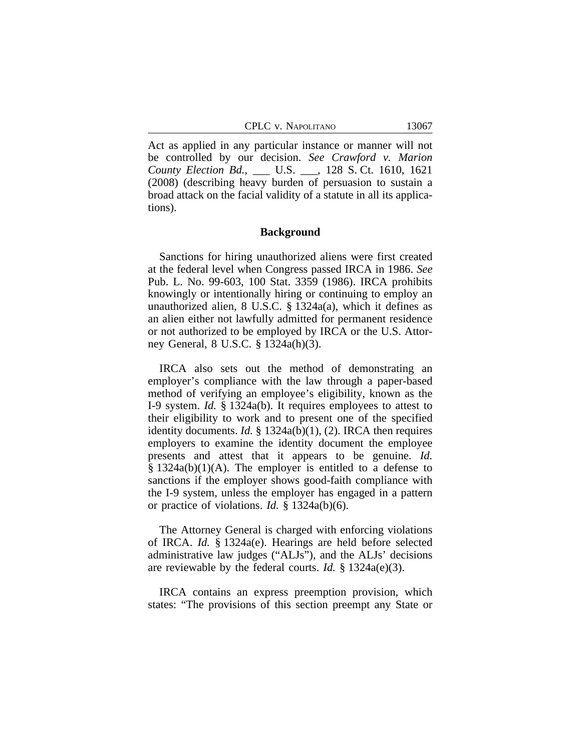Act as applied in any particular instance or manner will not be controlled by our decision. *See Crawford v. Marion County Election Bd.*, \_\_\_ U.S. \_\_\_, 128 S. Ct. 1610, 1621 (2008) (describing heavy burden of persuasion to sustain a broad attack on the facial validity of a statute in all its applications).

#### **Background**

Sanctions for hiring unauthorized aliens were first created at the federal level when Congress passed IRCA in 1986. *See* Pub. L. No. 99-603, 100 Stat. 3359 (1986). IRCA prohibits knowingly or intentionally hiring or continuing to employ an unauthorized alien, 8 U.S.C. § 1324a(a), which it defines as an alien either not lawfully admitted for permanent residence or not authorized to be employed by IRCA or the U.S. Attorney General, 8 U.S.C. § 1324a(h)(3).

IRCA also sets out the method of demonstrating an employer's compliance with the law through a paper-based method of verifying an employee's eligibility, known as the I-9 system. *Id.* § 1324a(b). It requires employees to attest to their eligibility to work and to present one of the specified identity documents. *Id.* § 1324a(b)(1), (2). IRCA then requires employers to examine the identity document the employee presents and attest that it appears to be genuine. *Id.*  $§$  1324a(b)(1)(A). The employer is entitled to a defense to sanctions if the employer shows good-faith compliance with the I-9 system, unless the employer has engaged in a pattern or practice of violations. *Id.* § 1324a(b)(6).

The Attorney General is charged with enforcing violations of IRCA. *Id.* § 1324a(e). Hearings are held before selected administrative law judges ("ALJs"), and the ALJs' decisions are reviewable by the federal courts. *Id.* § 1324a(e)(3).

IRCA contains an express preemption provision, which states: "The provisions of this section preempt any State or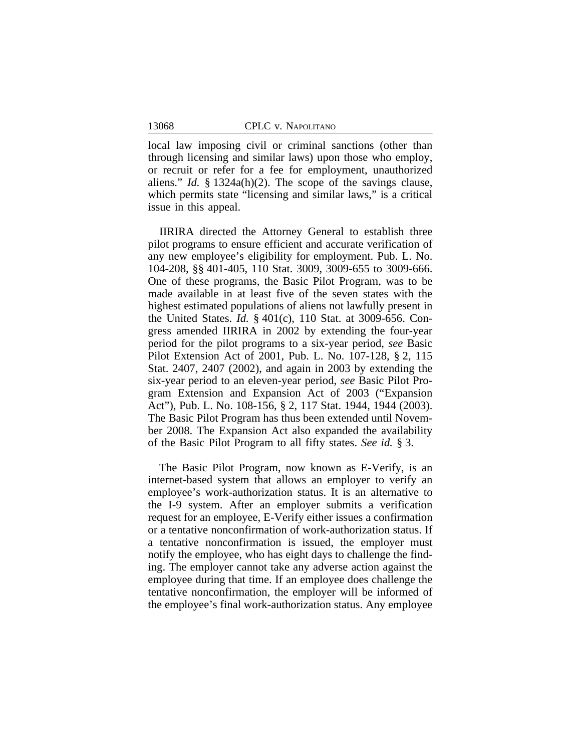local law imposing civil or criminal sanctions (other than through licensing and similar laws) upon those who employ, or recruit or refer for a fee for employment, unauthorized aliens." *Id.* § 1324a(h)(2). The scope of the savings clause, which permits state "licensing and similar laws," is a critical issue in this appeal.

IIRIRA directed the Attorney General to establish three pilot programs to ensure efficient and accurate verification of any new employee's eligibility for employment. Pub. L. No. 104-208, §§ 401-405, 110 Stat. 3009, 3009-655 to 3009-666. One of these programs, the Basic Pilot Program, was to be made available in at least five of the seven states with the highest estimated populations of aliens not lawfully present in the United States. *Id.* § 401(c), 110 Stat. at 3009-656. Congress amended IIRIRA in 2002 by extending the four-year period for the pilot programs to a six-year period, *see* Basic Pilot Extension Act of 2001, Pub. L. No. 107-128, § 2, 115 Stat. 2407, 2407 (2002), and again in 2003 by extending the six-year period to an eleven-year period, *see* Basic Pilot Program Extension and Expansion Act of 2003 ("Expansion Act"), Pub. L. No. 108-156, § 2, 117 Stat. 1944, 1944 (2003). The Basic Pilot Program has thus been extended until November 2008. The Expansion Act also expanded the availability of the Basic Pilot Program to all fifty states. *See id.* § 3.

The Basic Pilot Program, now known as E-Verify, is an internet-based system that allows an employer to verify an employee's work-authorization status. It is an alternative to the I-9 system. After an employer submits a verification request for an employee, E-Verify either issues a confirmation or a tentative nonconfirmation of work-authorization status. If a tentative nonconfirmation is issued, the employer must notify the employee, who has eight days to challenge the finding. The employer cannot take any adverse action against the employee during that time. If an employee does challenge the tentative nonconfirmation, the employer will be informed of the employee's final work-authorization status. Any employee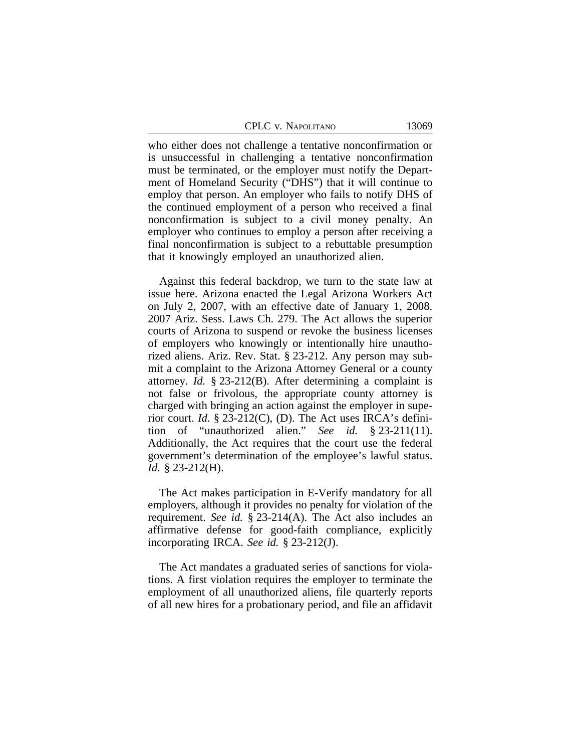| 13069 |
|-------|
|       |

who either does not challenge a tentative nonconfirmation or is unsuccessful in challenging a tentative nonconfirmation must be terminated, or the employer must notify the Department of Homeland Security ("DHS") that it will continue to employ that person. An employer who fails to notify DHS of the continued employment of a person who received a final nonconfirmation is subject to a civil money penalty. An employer who continues to employ a person after receiving a final nonconfirmation is subject to a rebuttable presumption that it knowingly employed an unauthorized alien.

Against this federal backdrop, we turn to the state law at issue here. Arizona enacted the Legal Arizona Workers Act on July 2, 2007, with an effective date of January 1, 2008. 2007 Ariz. Sess. Laws Ch. 279. The Act allows the superior courts of Arizona to suspend or revoke the business licenses of employers who knowingly or intentionally hire unauthorized aliens. Ariz. Rev. Stat. § 23-212. Any person may submit a complaint to the Arizona Attorney General or a county attorney. *Id.* § 23-212(B). After determining a complaint is not false or frivolous, the appropriate county attorney is charged with bringing an action against the employer in superior court. *Id.* § 23-212(C), (D). The Act uses IRCA's definition of "unauthorized alien." *See id.* § 23-211(11). Additionally, the Act requires that the court use the federal government's determination of the employee's lawful status. *Id.* § 23-212(H).

The Act makes participation in E-Verify mandatory for all employers, although it provides no penalty for violation of the requirement. *See id.* § 23-214(A). The Act also includes an affirmative defense for good-faith compliance, explicitly incorporating IRCA. *See id.* § 23-212(J).

The Act mandates a graduated series of sanctions for violations. A first violation requires the employer to terminate the employment of all unauthorized aliens, file quarterly reports of all new hires for a probationary period, and file an affidavit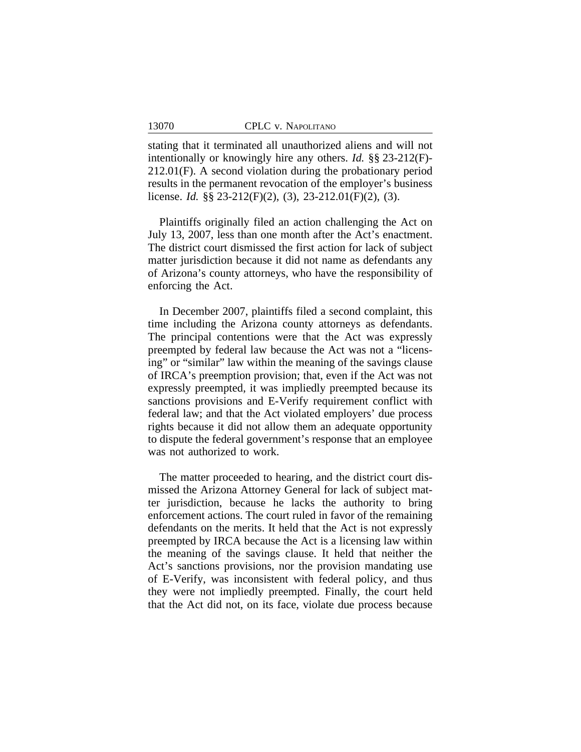stating that it terminated all unauthorized aliens and will not intentionally or knowingly hire any others. *Id.* §§ 23-212(F)- 212.01(F). A second violation during the probationary period results in the permanent revocation of the employer's business license. *Id.* §§ 23-212(F)(2), (3), 23-212.01(F)(2), (3).

Plaintiffs originally filed an action challenging the Act on July 13, 2007, less than one month after the Act's enactment. The district court dismissed the first action for lack of subject matter jurisdiction because it did not name as defendants any of Arizona's county attorneys, who have the responsibility of enforcing the Act.

In December 2007, plaintiffs filed a second complaint, this time including the Arizona county attorneys as defendants. The principal contentions were that the Act was expressly preempted by federal law because the Act was not a "licensing" or "similar" law within the meaning of the savings clause of IRCA's preemption provision; that, even if the Act was not expressly preempted, it was impliedly preempted because its sanctions provisions and E-Verify requirement conflict with federal law; and that the Act violated employers' due process rights because it did not allow them an adequate opportunity to dispute the federal government's response that an employee was not authorized to work.

The matter proceeded to hearing, and the district court dismissed the Arizona Attorney General for lack of subject matter jurisdiction, because he lacks the authority to bring enforcement actions. The court ruled in favor of the remaining defendants on the merits. It held that the Act is not expressly preempted by IRCA because the Act is a licensing law within the meaning of the savings clause. It held that neither the Act's sanctions provisions, nor the provision mandating use of E-Verify, was inconsistent with federal policy, and thus they were not impliedly preempted. Finally, the court held that the Act did not, on its face, violate due process because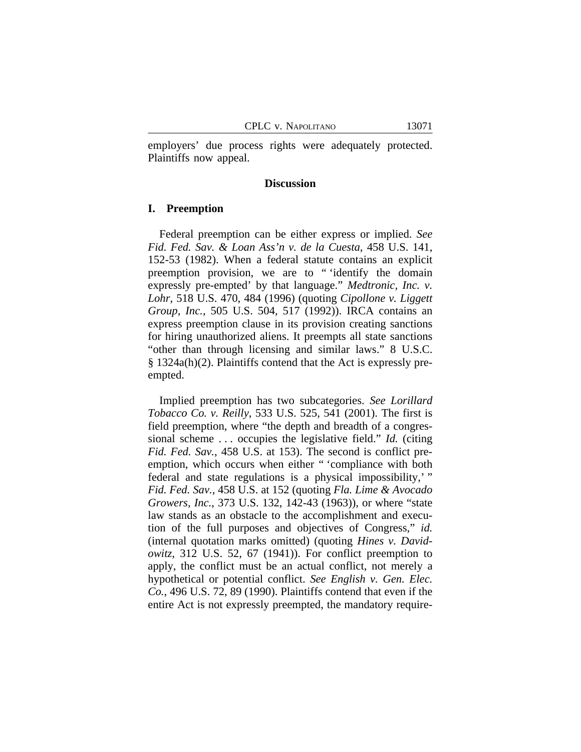employers' due process rights were adequately protected. Plaintiffs now appeal.

#### **Discussion**

#### **I. Preemption**

Federal preemption can be either express or implied. *See Fid. Fed. Sav. & Loan Ass'n v. de la Cuesta*, 458 U.S. 141, 152-53 (1982). When a federal statute contains an explicit preemption provision, we are to " 'identify the domain expressly pre-empted' by that language." *Medtronic, Inc. v. Lohr*, 518 U.S. 470, 484 (1996) (quoting *Cipollone v. Liggett Group, Inc.*, 505 U.S. 504, 517 (1992)). IRCA contains an express preemption clause in its provision creating sanctions for hiring unauthorized aliens. It preempts all state sanctions "other than through licensing and similar laws." 8 U.S.C. § 1324a(h)(2). Plaintiffs contend that the Act is expressly preempted.

Implied preemption has two subcategories. *See Lorillard Tobacco Co. v. Reilly*, 533 U.S. 525, 541 (2001). The first is field preemption, where "the depth and breadth of a congressional scheme . . . occupies the legislative field." *Id.* (citing *Fid. Fed. Sav.*, 458 U.S. at 153). The second is conflict preemption, which occurs when either " 'compliance with both federal and state regulations is a physical impossibility, " *Fid. Fed. Sav.*, 458 U.S. at 152 (quoting *Fla. Lime & Avocado Growers, Inc.*, 373 U.S. 132, 142-43 (1963)), or where "state law stands as an obstacle to the accomplishment and execution of the full purposes and objectives of Congress," *id.* (internal quotation marks omitted) (quoting *Hines v. Davidowitz*, 312 U.S. 52, 67 (1941)). For conflict preemption to apply, the conflict must be an actual conflict, not merely a hypothetical or potential conflict. *See English v. Gen. Elec. Co.*, 496 U.S. 72, 89 (1990). Plaintiffs contend that even if the entire Act is not expressly preempted, the mandatory require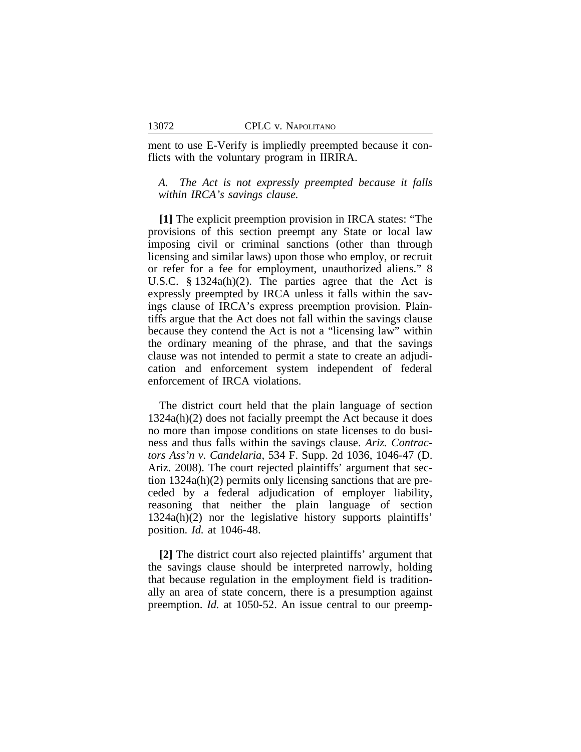ment to use E-Verify is impliedly preempted because it conflicts with the voluntary program in IIRIRA.

## *A. The Act is not expressly preempted because it falls within IRCA's savings clause.*

**[1]** The explicit preemption provision in IRCA states: "The provisions of this section preempt any State or local law imposing civil or criminal sanctions (other than through licensing and similar laws) upon those who employ, or recruit or refer for a fee for employment, unauthorized aliens." 8 U.S.C. § 1324a(h)(2). The parties agree that the Act is expressly preempted by IRCA unless it falls within the savings clause of IRCA's express preemption provision. Plaintiffs argue that the Act does not fall within the savings clause because they contend the Act is not a "licensing law" within the ordinary meaning of the phrase, and that the savings clause was not intended to permit a state to create an adjudication and enforcement system independent of federal enforcement of IRCA violations.

The district court held that the plain language of section 1324a(h)(2) does not facially preempt the Act because it does no more than impose conditions on state licenses to do business and thus falls within the savings clause. *Ariz. Contractors Ass'n v. Candelaria*, 534 F. Supp. 2d 1036, 1046-47 (D. Ariz. 2008). The court rejected plaintiffs' argument that section 1324a(h)(2) permits only licensing sanctions that are preceded by a federal adjudication of employer liability, reasoning that neither the plain language of section 1324a(h)(2) nor the legislative history supports plaintiffs' position. *Id.* at 1046-48.

**[2]** The district court also rejected plaintiffs' argument that the savings clause should be interpreted narrowly, holding that because regulation in the employment field is traditionally an area of state concern, there is a presumption against preemption. *Id.* at 1050-52. An issue central to our preemp-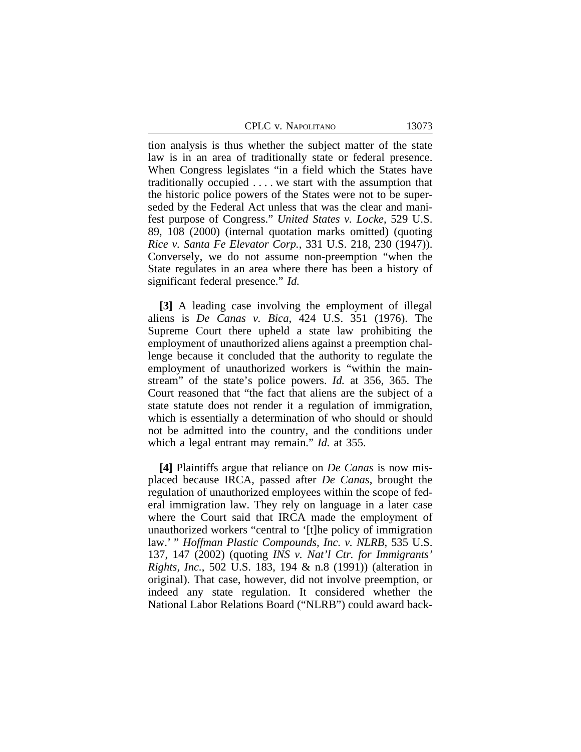tion analysis is thus whether the subject matter of the state law is in an area of traditionally state or federal presence. When Congress legislates "in a field which the States have traditionally occupied . . . . we start with the assumption that the historic police powers of the States were not to be superseded by the Federal Act unless that was the clear and manifest purpose of Congress." *United States v. Locke*, 529 U.S. 89, 108 (2000) (internal quotation marks omitted) (quoting *Rice v. Santa Fe Elevator Corp.*, 331 U.S. 218, 230 (1947)). Conversely, we do not assume non-preemption "when the State regulates in an area where there has been a history of significant federal presence." *Id.*

**[3]** A leading case involving the employment of illegal aliens is *De Canas v. Bica*, 424 U.S. 351 (1976). The Supreme Court there upheld a state law prohibiting the employment of unauthorized aliens against a preemption challenge because it concluded that the authority to regulate the employment of unauthorized workers is "within the mainstream" of the state's police powers. *Id.* at 356, 365. The Court reasoned that "the fact that aliens are the subject of a state statute does not render it a regulation of immigration, which is essentially a determination of who should or should not be admitted into the country, and the conditions under which a legal entrant may remain." *Id.* at 355.

**[4]** Plaintiffs argue that reliance on *De Canas* is now misplaced because IRCA, passed after *De Canas*, brought the regulation of unauthorized employees within the scope of federal immigration law. They rely on language in a later case where the Court said that IRCA made the employment of unauthorized workers "central to '[t]he policy of immigration law.' " *Hoffman Plastic Compounds, Inc. v. NLRB*, 535 U.S. 137, 147 (2002) (quoting *INS v. Nat'l Ctr. for Immigrants' Rights, Inc.*, 502 U.S. 183, 194 & n.8 (1991)) (alteration in original). That case, however, did not involve preemption, or indeed any state regulation. It considered whether the National Labor Relations Board ("NLRB") could award back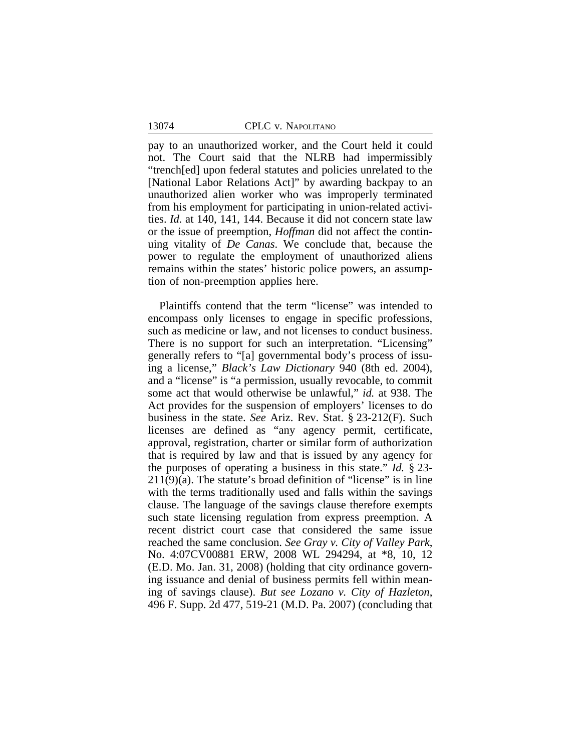pay to an unauthorized worker, and the Court held it could not. The Court said that the NLRB had impermissibly "trench[ed] upon federal statutes and policies unrelated to the [National Labor Relations Act]" by awarding backpay to an unauthorized alien worker who was improperly terminated from his employment for participating in union-related activities. *Id.* at 140, 141, 144. Because it did not concern state law or the issue of preemption, *Hoffman* did not affect the continuing vitality of *De Canas*. We conclude that, because the power to regulate the employment of unauthorized aliens remains within the states' historic police powers, an assumption of non-preemption applies here.

Plaintiffs contend that the term "license" was intended to encompass only licenses to engage in specific professions, such as medicine or law, and not licenses to conduct business. There is no support for such an interpretation. "Licensing" generally refers to "[a] governmental body's process of issuing a license," *Black's Law Dictionary* 940 (8th ed. 2004), and a "license" is "a permission, usually revocable, to commit some act that would otherwise be unlawful," *id.* at 938. The Act provides for the suspension of employers' licenses to do business in the state. *See* Ariz. Rev. Stat. § 23-212(F). Such licenses are defined as "any agency permit, certificate, approval, registration, charter or similar form of authorization that is required by law and that is issued by any agency for the purposes of operating a business in this state." *Id.* § 23-  $211(9)(a)$ . The statute's broad definition of "license" is in line with the terms traditionally used and falls within the savings clause. The language of the savings clause therefore exempts such state licensing regulation from express preemption. A recent district court case that considered the same issue reached the same conclusion. *See Gray v. City of Valley Park*, No. 4:07CV00881 ERW, 2008 WL 294294, at \*8, 10, 12 (E.D. Mo. Jan. 31, 2008) (holding that city ordinance governing issuance and denial of business permits fell within meaning of savings clause). *But see Lozano v. City of Hazleton*, 496 F. Supp. 2d 477, 519-21 (M.D. Pa. 2007) (concluding that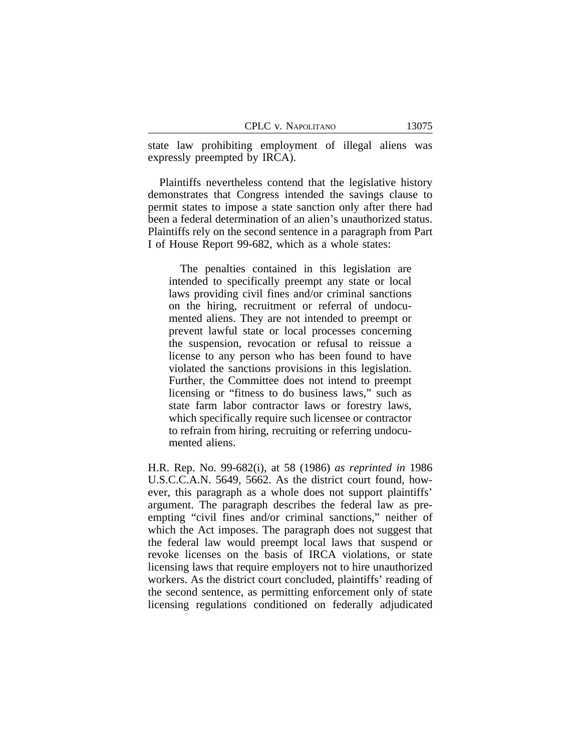state law prohibiting employment of illegal aliens was expressly preempted by IRCA).

Plaintiffs nevertheless contend that the legislative history demonstrates that Congress intended the savings clause to permit states to impose a state sanction only after there had been a federal determination of an alien's unauthorized status. Plaintiffs rely on the second sentence in a paragraph from Part I of House Report 99-682, which as a whole states:

The penalties contained in this legislation are intended to specifically preempt any state or local laws providing civil fines and/or criminal sanctions on the hiring, recruitment or referral of undocumented aliens. They are not intended to preempt or prevent lawful state or local processes concerning the suspension, revocation or refusal to reissue a license to any person who has been found to have violated the sanctions provisions in this legislation. Further, the Committee does not intend to preempt licensing or "fitness to do business laws," such as state farm labor contractor laws or forestry laws, which specifically require such licensee or contractor to refrain from hiring, recruiting or referring undocumented aliens.

H.R. Rep. No. 99-682(i), at 58 (1986) *as reprinted in* 1986 U.S.C.C.A.N. 5649, 5662. As the district court found, however, this paragraph as a whole does not support plaintiffs' argument. The paragraph describes the federal law as preempting "civil fines and/or criminal sanctions," neither of which the Act imposes. The paragraph does not suggest that the federal law would preempt local laws that suspend or revoke licenses on the basis of IRCA violations, or state licensing laws that require employers not to hire unauthorized workers. As the district court concluded, plaintiffs' reading of the second sentence, as permitting enforcement only of state licensing regulations conditioned on federally adjudicated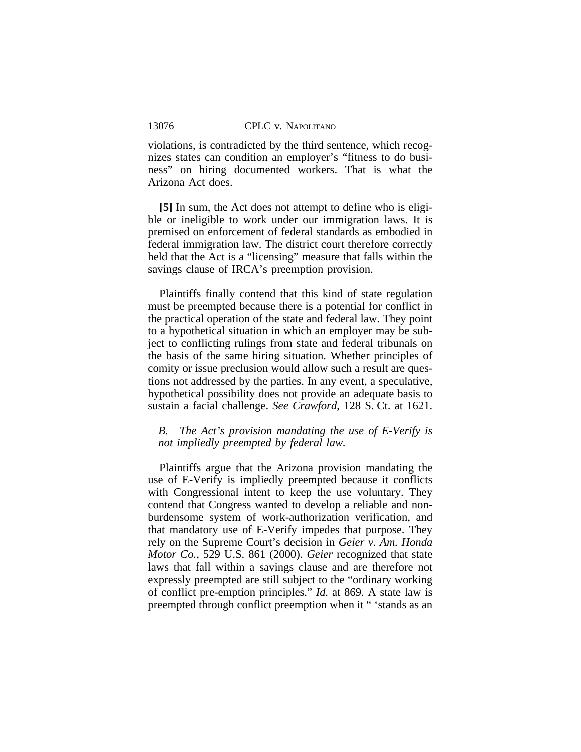violations, is contradicted by the third sentence, which recognizes states can condition an employer's "fitness to do business" on hiring documented workers. That is what the Arizona Act does.

**[5]** In sum, the Act does not attempt to define who is eligible or ineligible to work under our immigration laws. It is premised on enforcement of federal standards as embodied in federal immigration law. The district court therefore correctly held that the Act is a "licensing" measure that falls within the savings clause of IRCA's preemption provision.

Plaintiffs finally contend that this kind of state regulation must be preempted because there is a potential for conflict in the practical operation of the state and federal law. They point to a hypothetical situation in which an employer may be subject to conflicting rulings from state and federal tribunals on the basis of the same hiring situation. Whether principles of comity or issue preclusion would allow such a result are questions not addressed by the parties. In any event, a speculative, hypothetical possibility does not provide an adequate basis to sustain a facial challenge. *See Crawford*, 128 S. Ct. at 1621.

## *B. The Act's provision mandating the use of E-Verify is not impliedly preempted by federal law.*

Plaintiffs argue that the Arizona provision mandating the use of E-Verify is impliedly preempted because it conflicts with Congressional intent to keep the use voluntary. They contend that Congress wanted to develop a reliable and nonburdensome system of work-authorization verification, and that mandatory use of E-Verify impedes that purpose. They rely on the Supreme Court's decision in *Geier v. Am. Honda Motor Co.*, 529 U.S. 861 (2000). *Geier* recognized that state laws that fall within a savings clause and are therefore not expressly preempted are still subject to the "ordinary working of conflict pre-emption principles." *Id.* at 869. A state law is preempted through conflict preemption when it " 'stands as an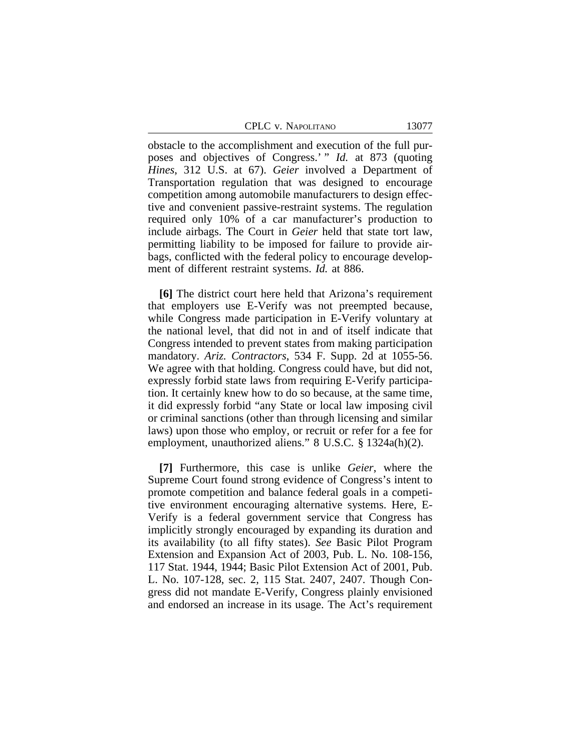obstacle to the accomplishment and execution of the full purposes and objectives of Congress.' " *Id.* at 873 (quoting *Hines*, 312 U.S. at 67). *Geier* involved a Department of Transportation regulation that was designed to encourage competition among automobile manufacturers to design effective and convenient passive-restraint systems. The regulation required only 10% of a car manufacturer's production to include airbags. The Court in *Geier* held that state tort law, permitting liability to be imposed for failure to provide airbags, conflicted with the federal policy to encourage development of different restraint systems. *Id.* at 886.

**[6]** The district court here held that Arizona's requirement that employers use E-Verify was not preempted because, while Congress made participation in E-Verify voluntary at the national level, that did not in and of itself indicate that Congress intended to prevent states from making participation mandatory. *Ariz. Contractors*, 534 F. Supp. 2d at 1055-56. We agree with that holding. Congress could have, but did not, expressly forbid state laws from requiring E-Verify participation. It certainly knew how to do so because, at the same time, it did expressly forbid "any State or local law imposing civil or criminal sanctions (other than through licensing and similar laws) upon those who employ, or recruit or refer for a fee for employment, unauthorized aliens." 8 U.S.C. § 1324a(h)(2).

**[7]** Furthermore, this case is unlike *Geier*, where the Supreme Court found strong evidence of Congress's intent to promote competition and balance federal goals in a competitive environment encouraging alternative systems. Here, E-Verify is a federal government service that Congress has implicitly strongly encouraged by expanding its duration and its availability (to all fifty states). *See* Basic Pilot Program Extension and Expansion Act of 2003, Pub. L. No. 108-156, 117 Stat. 1944, 1944; Basic Pilot Extension Act of 2001, Pub. L. No. 107-128, sec. 2, 115 Stat. 2407, 2407. Though Congress did not mandate E-Verify, Congress plainly envisioned and endorsed an increase in its usage. The Act's requirement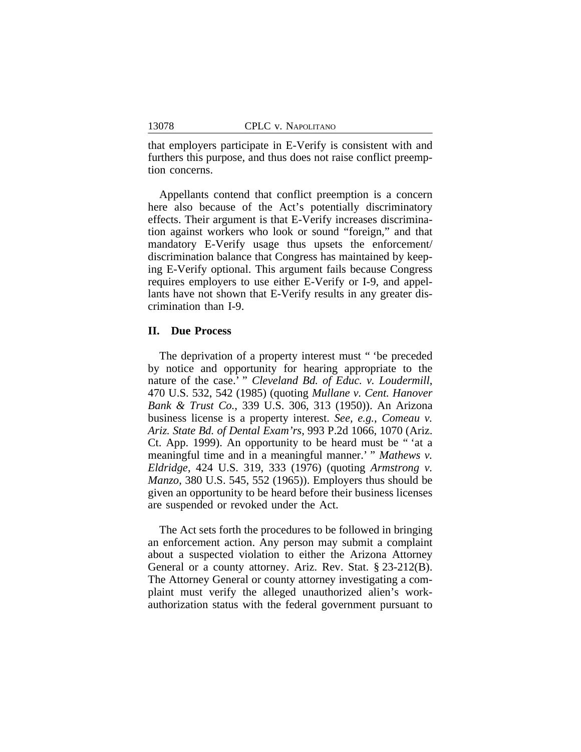that employers participate in E-Verify is consistent with and furthers this purpose, and thus does not raise conflict preemption concerns.

Appellants contend that conflict preemption is a concern here also because of the Act's potentially discriminatory effects. Their argument is that E-Verify increases discrimination against workers who look or sound "foreign," and that mandatory E-Verify usage thus upsets the enforcement/ discrimination balance that Congress has maintained by keeping E-Verify optional. This argument fails because Congress requires employers to use either E-Verify or I-9, and appellants have not shown that E-Verify results in any greater discrimination than I-9.

#### **II. Due Process**

The deprivation of a property interest must " 'be preceded by notice and opportunity for hearing appropriate to the nature of the case.' " *Cleveland Bd. of Educ. v. Loudermill*, 470 U.S. 532, 542 (1985) (quoting *Mullane v. Cent. Hanover Bank & Trust Co.*, 339 U.S. 306, 313 (1950)). An Arizona business license is a property interest. *See, e.g.*, *Comeau v. Ariz. State Bd. of Dental Exam'rs*, 993 P.2d 1066, 1070 (Ariz. Ct. App. 1999). An opportunity to be heard must be " 'at a meaningful time and in a meaningful manner.' " *Mathews v. Eldridge*, 424 U.S. 319, 333 (1976) (quoting *Armstrong v. Manzo*, 380 U.S. 545, 552 (1965)). Employers thus should be given an opportunity to be heard before their business licenses are suspended or revoked under the Act.

The Act sets forth the procedures to be followed in bringing an enforcement action. Any person may submit a complaint about a suspected violation to either the Arizona Attorney General or a county attorney. Ariz. Rev. Stat. § 23-212(B). The Attorney General or county attorney investigating a complaint must verify the alleged unauthorized alien's workauthorization status with the federal government pursuant to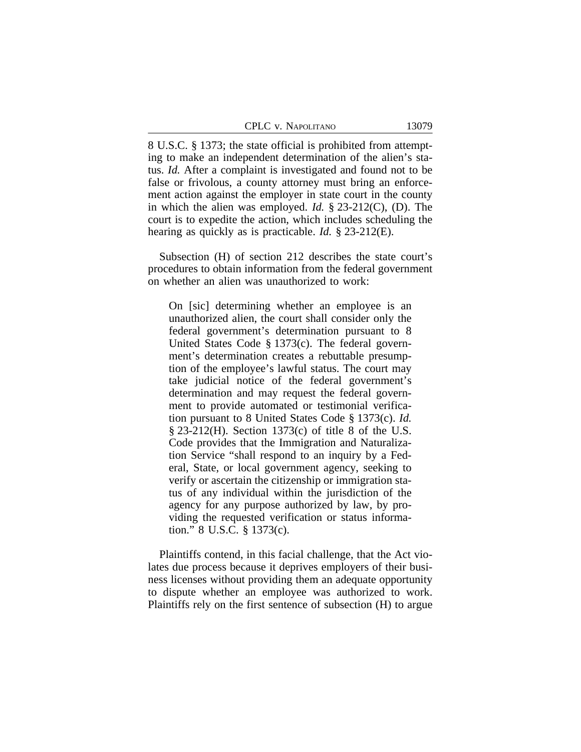| CPLC v. NAPOLITANO | 13079 |
|--------------------|-------|
|--------------------|-------|

8 U.S.C. § 1373; the state official is prohibited from attempting to make an independent determination of the alien's status. *Id.* After a complaint is investigated and found not to be false or frivolous, a county attorney must bring an enforcement action against the employer in state court in the county in which the alien was employed. *Id.* § 23-212(C), (D). The court is to expedite the action, which includes scheduling the hearing as quickly as is practicable. *Id.* § 23-212(E).

Subsection (H) of section 212 describes the state court's procedures to obtain information from the federal government on whether an alien was unauthorized to work:

On [sic] determining whether an employee is an unauthorized alien, the court shall consider only the federal government's determination pursuant to 8 United States Code § 1373(c). The federal government's determination creates a rebuttable presumption of the employee's lawful status. The court may take judicial notice of the federal government's determination and may request the federal government to provide automated or testimonial verification pursuant to 8 United States Code § 1373(c). *Id.* § 23-212(H). Section 1373(c) of title 8 of the U.S. Code provides that the Immigration and Naturalization Service "shall respond to an inquiry by a Federal, State, or local government agency, seeking to verify or ascertain the citizenship or immigration status of any individual within the jurisdiction of the agency for any purpose authorized by law, by providing the requested verification or status information." 8 U.S.C. § 1373(c).

Plaintiffs contend, in this facial challenge, that the Act violates due process because it deprives employers of their business licenses without providing them an adequate opportunity to dispute whether an employee was authorized to work. Plaintiffs rely on the first sentence of subsection (H) to argue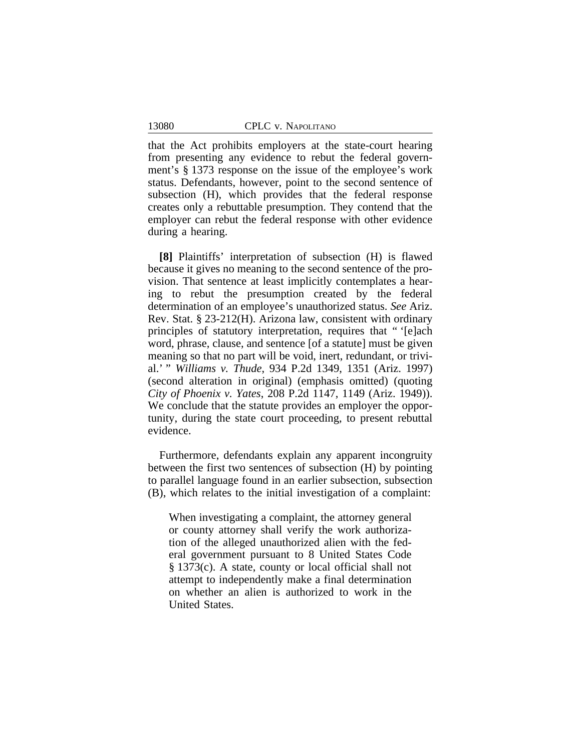that the Act prohibits employers at the state-court hearing from presenting any evidence to rebut the federal government's § 1373 response on the issue of the employee's work status. Defendants, however, point to the second sentence of subsection (H), which provides that the federal response creates only a rebuttable presumption. They contend that the employer can rebut the federal response with other evidence during a hearing.

**[8]** Plaintiffs' interpretation of subsection (H) is flawed because it gives no meaning to the second sentence of the provision. That sentence at least implicitly contemplates a hearing to rebut the presumption created by the federal determination of an employee's unauthorized status. *See* Ariz. Rev. Stat. § 23-212(H). Arizona law, consistent with ordinary principles of statutory interpretation, requires that " '[e]ach word, phrase, clause, and sentence [of a statute] must be given meaning so that no part will be void, inert, redundant, or trivial.' " *Williams v. Thude*, 934 P.2d 1349, 1351 (Ariz. 1997) (second alteration in original) (emphasis omitted) (quoting *City of Phoenix v. Yates*, 208 P.2d 1147, 1149 (Ariz. 1949)). We conclude that the statute provides an employer the opportunity, during the state court proceeding, to present rebuttal evidence.

Furthermore, defendants explain any apparent incongruity between the first two sentences of subsection (H) by pointing to parallel language found in an earlier subsection, subsection (B), which relates to the initial investigation of a complaint:

When investigating a complaint, the attorney general or county attorney shall verify the work authorization of the alleged unauthorized alien with the federal government pursuant to 8 United States Code § 1373(c). A state, county or local official shall not attempt to independently make a final determination on whether an alien is authorized to work in the United States.